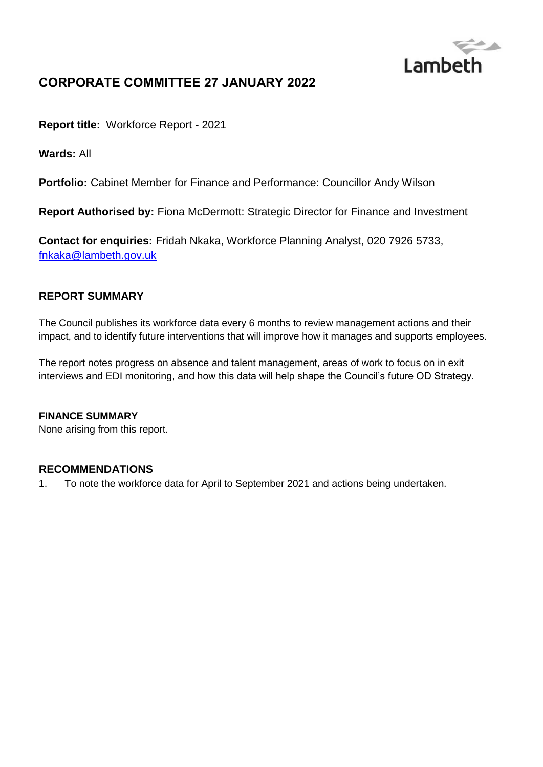

# **CORPORATE COMMITTEE 27 JANUARY 2022**

**Report title:** Workforce Report - 2021

**Wards:** All

**Portfolio:** Cabinet Member for Finance and Performance: Councillor Andy Wilson

**Report Authorised by:** Fiona McDermott: Strategic Director for Finance and Investment

**Contact for enquiries:** Fridah Nkaka, Workforce Planning Analyst, 020 7926 5733, [fnkaka@lambeth.gov.uk](mailto:fnkaka@lambeth.gov.uk)

## **REPORT SUMMARY**

The Council publishes its workforce data every 6 months to review management actions and their impact, and to identify future interventions that will improve how it manages and supports employees.

The report notes progress on absence and talent management, areas of work to focus on in exit interviews and EDI monitoring, and how this data will help shape the Council's future OD Strategy.

#### **FINANCE SUMMARY**

None arising from this report.

#### **RECOMMENDATIONS**

1. To note the workforce data for April to September 2021 and actions being undertaken.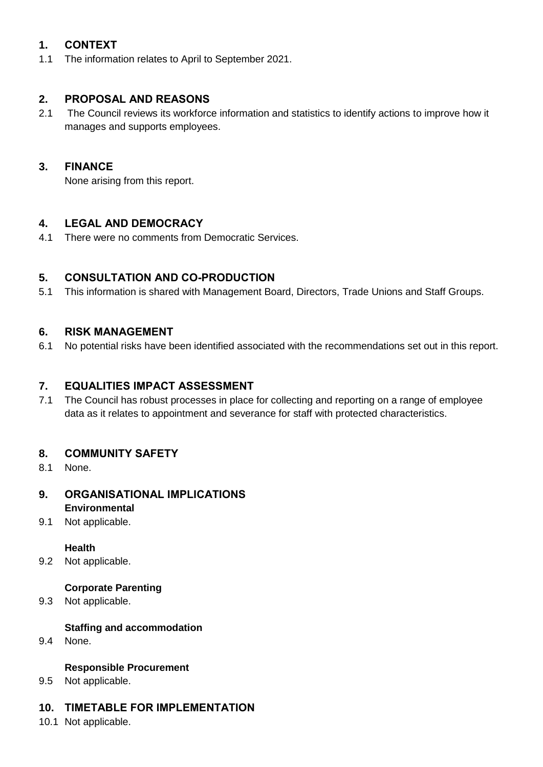## **1. CONTEXT**

1.1 The information relates to April to September 2021.

## **2. PROPOSAL AND REASONS**

2.1 The Council reviews its workforce information and statistics to identify actions to improve how it manages and supports employees.

## **3. FINANCE**

None arising from this report.

## **4. LEGAL AND DEMOCRACY**

4.1 There were no comments from Democratic Services.

## **5. CONSULTATION AND CO-PRODUCTION**

5.1 This information is shared with Management Board, Directors, Trade Unions and Staff Groups.

## **6. RISK MANAGEMENT**

6.1 No potential risks have been identified associated with the recommendations set out in this report.

## **7. EQUALITIES IMPACT ASSESSMENT**

7.1 The Council has robust processes in place for collecting and reporting on a range of employee data as it relates to appointment and severance for staff with protected characteristics.

### **8. COMMUNITY SAFETY**

8.1 None.

#### **9. ORGANISATIONAL IMPLICATIONS Environmental**

9.1 Not applicable.

#### **Health**

9.2 Not applicable.

#### **Corporate Parenting**

9.3 Not applicable.

#### **Staffing and accommodation**

9.4 None.

#### **Responsible Procurement**

9.5 Not applicable.

#### **10. TIMETABLE FOR IMPLEMENTATION**

10.1 Not applicable.